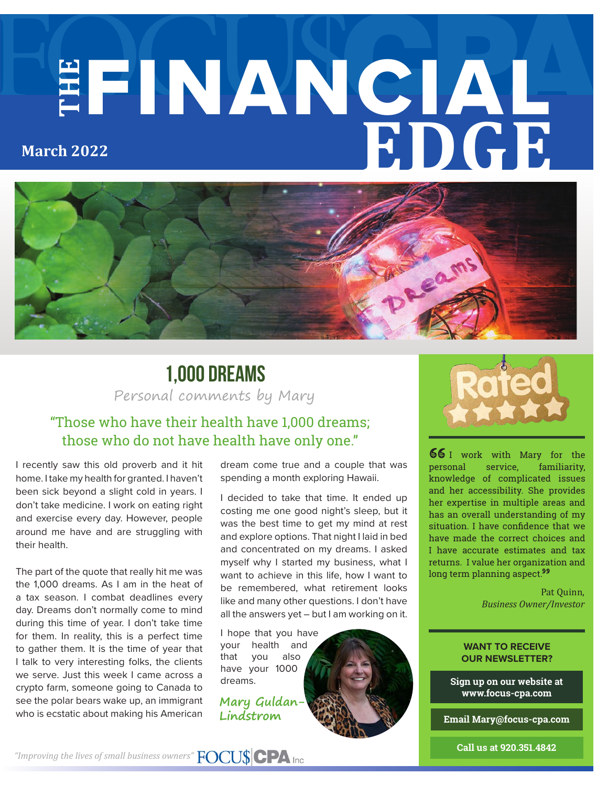# **THE** FINANCIAL **EDGE March 2022**



### Personal comments by Mary **1,000 Dreams**

### "Those who have their health have 1,000 dreams; those who do not have health have only one."

I recently saw this old proverb and it hit home. I take my health for granted. I haven't been sick beyond a slight cold in years. I don't take medicine. I work on eating right and exercise every day. However, people around me have and are struggling with their health.

The part of the quote that really hit me was the 1,000 dreams. As I am in the heat of a tax season. I combat deadlines every day. Dreams don't normally come to mind during this time of year. I don't take time for them. In reality, this is a perfect time to gather them. It is the time of year that I talk to very interesting folks, the clients we serve. Just this week I came across a crypto farm, someone going to Canada to see the polar bears wake up, an immigrant who is ecstatic about making his American

dream come true and a couple that was spending a month exploring Hawaii.

I decided to take that time. It ended up costing me one good night's sleep, but it was the best time to get my mind at rest and explore options. That night I laid in bed and concentrated on my dreams. I asked myself why I started my business, what I want to achieve in this life, how I want to be remembered, what retirement looks like and many other questions. I don't have all the answers yet – but I am working on it.

I hope that you have your health and that you also have your 1000 dreams.

**Mary Guldan-Lindstrom**





66 I work with Mary for the personal service, familiarity, knowledge of complicated issues and her accessibility. She provides her expertise in multiple areas and has an overall understanding of my situation. I have confidence that we have made the correct choices and I have accurate estimates and tax returns. I value her organization and long term planning aspect.<sup>99</sup>

> Pat Quinn, *Business Owner/Investor*

#### **WANT TO RECEIVE OUR NEWSLETTER?**

**Sign up on our website at www.focus-cpa.com**

**Email Mary@focus-cpa.com**

**Call us at 920.351.4842**

*"Improving the lives of small business owners"*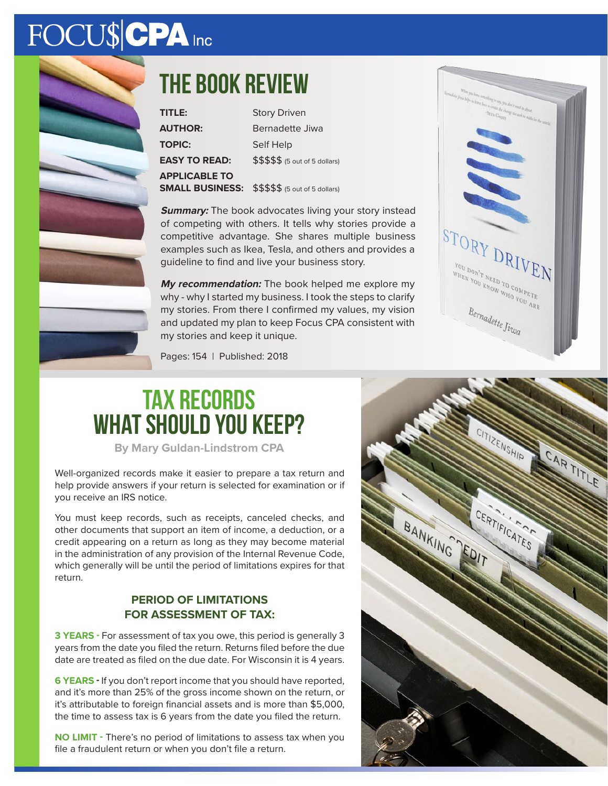# FOCU\$CPA Inc



### **The book review**

| TITLE:                 | <b>Story Driven</b>                        |
|------------------------|--------------------------------------------|
| <b>AUTHOR:</b>         | Bernadette Jiwa                            |
| <b>TOPIC:</b>          | Self Help                                  |
| <b>EASY TO READ:</b>   | $$$$$$$$ $$$$ $$$ $$$ (5 out of 5 dollars) |
| <b>APPLICABLE TO</b>   |                                            |
| <b>SMALL BUSINESS:</b> | \$\$\$\$\$ (5 out of 5 dollars)            |

**Summary:** The book advocates living your story instead of competing with others. It tells why stories provide a competitive advantage. She shares multiple business examples such as Ikea, Tesla, and others and provides a guideline to find and live your business story.

**My recommendation:** The book helped me explore my why - why I started my business. I took the steps to clarify my stories. From there I confirmed my values, my vision and updated my plan to keep Focus CPA consistent with my stories and keep it unique.



Pages: 154 | Published: 2018

### **Tax Records What should you keep?**

**By Mary Guldan-Lindstrom CPA**

Well-organized records make it easier to prepare a tax return and help provide answers if your return is selected for examination or if you receive an IRS notice.

You must keep records, such as receipts, canceled checks, and other documents that support an item of income, a deduction, or a credit appearing on a return as long as they may become material in the administration of any provision of the Internal Revenue Code, which generally will be until the period of limitations expires for that return.

#### **PERIOD OF LIMITATIONS FOR ASSESSMENT OF TAX:**

**3 YEARS -** For assessment of tax you owe, this period is generally 3 years from the date you filed the return. Returns filed before the due date are treated as filed on the due date. For Wisconsin it is 4 years.

**6 YEARS -** If you don't report income that you should have reported, and it's more than 25% of the gross income shown on the return, or it's attributable to foreign financial assets and is more than \$5,000, the time to assess tax is 6 years from the date you filed the return.

**NO LIMIT -** There's no period of limitations to assess tax when you file a fraudulent return or when you don't file a return.

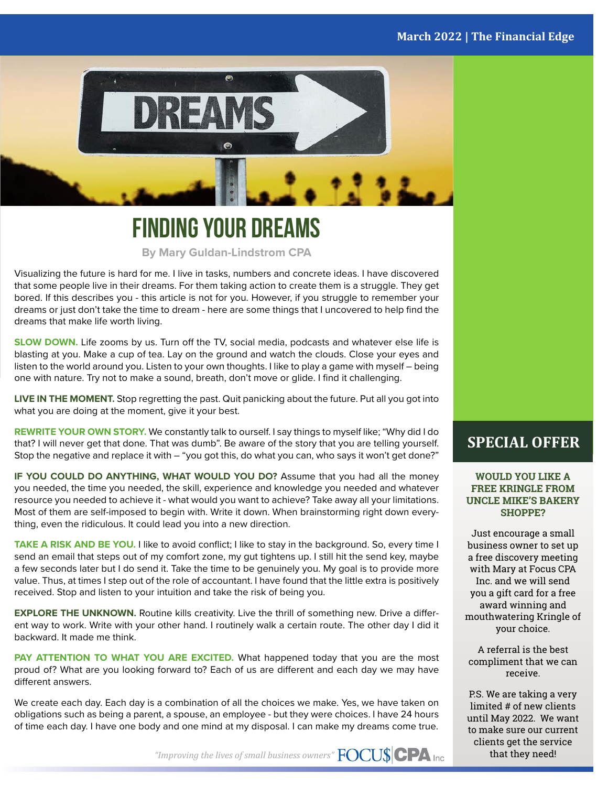#### **March 2022 | The Financial Edge**



### **Finding your Dreams**

**By Mary Guldan-Lindstrom CPA**

Visualizing the future is hard for me. I live in tasks, numbers and concrete ideas. I have discovered that some people live in their dreams. For them taking action to create them is a struggle. They get bored. If this describes you - this article is not for you. However, if you struggle to remember your dreams or just don't take the time to dream - here are some things that I uncovered to help find the dreams that make life worth living.

**SLOW DOWN.** Life zooms by us. Turn off the TV, social media, podcasts and whatever else life is blasting at you. Make a cup of tea. Lay on the ground and watch the clouds. Close your eyes and listen to the world around you. Listen to your own thoughts. I like to play a game with myself – being one with nature. Try not to make a sound, breath, don't move or glide. I find it challenging.

**LIVE IN THE MOMENT.** Stop regretting the past. Quit panicking about the future. Put all you got into what you are doing at the moment, give it your best.

**REWRITE YOUR OWN STORY.** We constantly talk to ourself. I say things to myself like; "Why did I do that? I will never get that done. That was dumb". Be aware of the story that you are telling yourself. Stop the negative and replace it with – "you got this, do what you can, who says it won't get done?"

**IF YOU COULD DO ANYTHING, WHAT WOULD YOU DO?** Assume that you had all the money you needed, the time you needed, the skill, experience and knowledge you needed and whatever resource you needed to achieve it - what would you want to achieve? Take away all your limitations. Most of them are self-imposed to begin with. Write it down. When brainstorming right down everything, even the ridiculous. It could lead you into a new direction.

**TAKE A RISK AND BE YOU.** I like to avoid conflict; I like to stay in the background. So, every time I send an email that steps out of my comfort zone, my gut tightens up. I still hit the send key, maybe a few seconds later but I do send it. Take the time to be genuinely you. My goal is to provide more value. Thus, at times I step out of the role of accountant. I have found that the little extra is positively received. Stop and listen to your intuition and take the risk of being you.

**EXPLORE THE UNKNOWN.** Routine kills creativity. Live the thrill of something new. Drive a different way to work. Write with your other hand. I routinely walk a certain route. The other day I did it backward. It made me think.

**PAY ATTENTION TO WHAT YOU ARE EXCITED.** What happened today that you are the most proud of? What are you looking forward to? Each of us are different and each day we may have different answers.

We create each day. Each day is a combination of all the choices we make. Yes, we have taken on obligations such as being a parent, a spouse, an employee - but they were choices. I have 24 hours of time each day. I have one body and one mind at my disposal. I can make my dreams come true.

### **SPECIAL OFFER**

**WOULD YOU LIKE A FREE KRINGLE FROM UNCLE MIKE'S BAKERY SHOPPE?**

Just encourage a small business owner to set up a free discovery meeting with Mary at Focus CPA Inc. and we will send you a gift card for a free award winning and mouthwatering Kringle of your choice.

A referral is the best compliment that we can receive.

P.S. We are taking a very limited # of new clients until May 2022. We want to make sure our current clients get the service that they need!

*"Improving the lives of small business owners"*